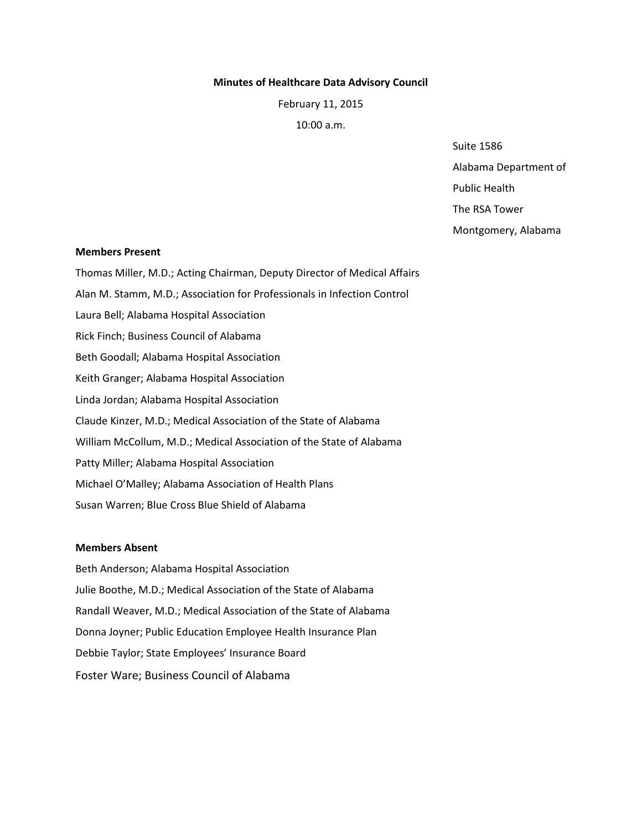#### **Minutes of Healthcare Data Advisory Council**

February 11, 2015

10:00 a.m.

Suite 1586 Alabama Department of

Public Health

The RSA Tower

Montgomery, Alabama

#### **Members Present**

Thomas Miller, M.D.; Acting Chairman, Deputy Director of Medical Affairs Alan M. Stamm, M.D.; Association for Professionals in Infection Control Laura Bell; Alabama Hospital Association Rick Finch; Business Council of Alabama Beth Goodall; Alabama Hospital Association Keith Granger; Alabama Hospital Association Linda Jordan; Alabama Hospital Association Claude Kinzer, M.D.; Medical Association of the State of Alabama William McCollum, M.D.; Medical Association of the State of Alabama Patty Miller; Alabama Hospital Association Michael O'Malley; Alabama Association of Health Plans Susan Warren; Blue Cross Blue Shield of Alabama

### **Members Absent**

Beth Anderson; Alabama Hospital Association Julie Boothe, M.D.; Medical Association of the State of Alabama Randall Weaver, M.D.; Medical Association of the State of Alabama Donna Joyner; Public Education Employee Health Insurance Plan Debbie Taylor; State Employees' Insurance Board Foster Ware; Business Council of Alabama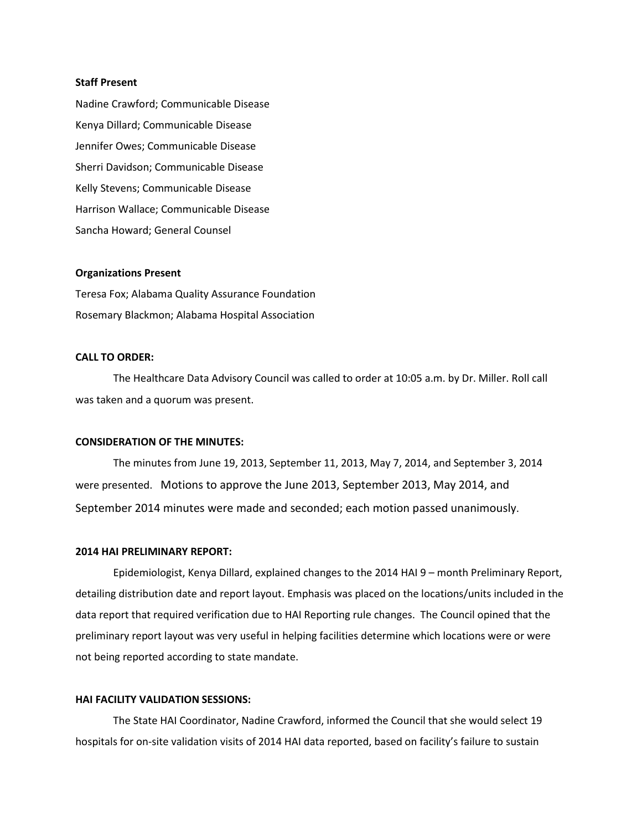### **Staff Present**

Nadine Crawford; Communicable Disease Kenya Dillard; Communicable Disease Jennifer Owes; Communicable Disease Sherri Davidson; Communicable Disease Kelly Stevens; Communicable Disease Harrison Wallace; Communicable Disease Sancha Howard; General Counsel

## **Organizations Present**

Teresa Fox; Alabama Quality Assurance Foundation Rosemary Blackmon; Alabama Hospital Association

## **CALL TO ORDER:**

The Healthcare Data Advisory Council was called to order at 10:05 a.m. by Dr. Miller. Roll call was taken and a quorum was present.

## **CONSIDERATION OF THE MINUTES:**

The minutes from June 19, 2013, September 11, 2013, May 7, 2014, and September 3, 2014 were presented. Motions to approve the June 2013, September 2013, May 2014, and September 2014 minutes were made and seconded; each motion passed unanimously.

#### **2014 HAI PRELIMINARY REPORT:**

Epidemiologist, Kenya Dillard, explained changes to the 2014 HAI 9 – month Preliminary Report, detailing distribution date and report layout. Emphasis was placed on the locations/units included in the data report that required verification due to HAI Reporting rule changes. The Council opined that the preliminary report layout was very useful in helping facilities determine which locations were or were not being reported according to state mandate.

#### **HAI FACILITY VALIDATION SESSIONS:**

The State HAI Coordinator, Nadine Crawford, informed the Council that she would select 19 hospitals for on-site validation visits of 2014 HAI data reported, based on facility's failure to sustain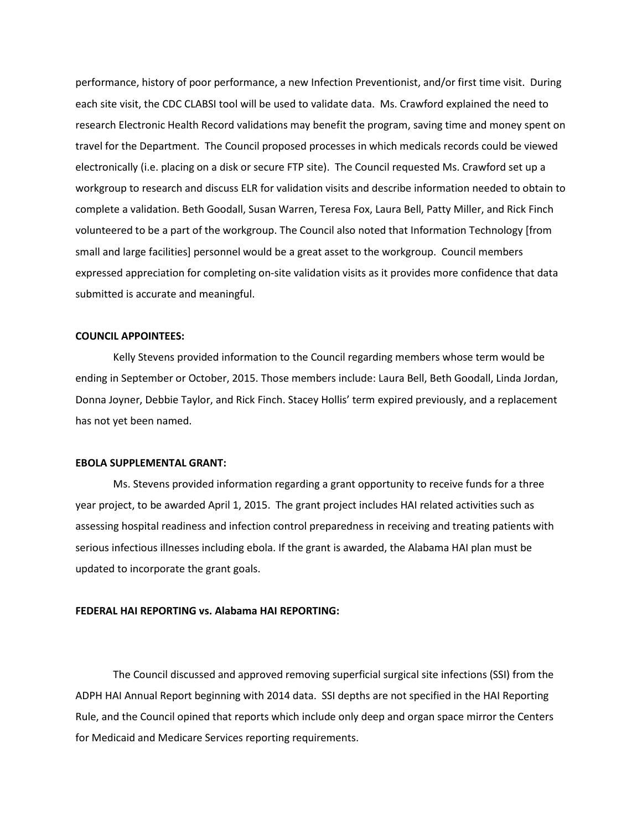performance, history of poor performance, a new Infection Preventionist, and/or first time visit. During each site visit, the CDC CLABSI tool will be used to validate data. Ms. Crawford explained the need to research Electronic Health Record validations may benefit the program, saving time and money spent on travel for the Department. The Council proposed processes in which medicals records could be viewed electronically (i.e. placing on a disk or secure FTP site). The Council requested Ms. Crawford set up a workgroup to research and discuss ELR for validation visits and describe information needed to obtain to complete a validation. Beth Goodall, Susan Warren, Teresa Fox, Laura Bell, Patty Miller, and Rick Finch volunteered to be a part of the workgroup. The Council also noted that Information Technology [from small and large facilities] personnel would be a great asset to the workgroup. Council members expressed appreciation for completing on-site validation visits as it provides more confidence that data submitted is accurate and meaningful.

# **COUNCIL APPOINTEES:**

Kelly Stevens provided information to the Council regarding members whose term would be ending in September or October, 2015. Those members include: Laura Bell, Beth Goodall, Linda Jordan, Donna Joyner, Debbie Taylor, and Rick Finch. Stacey Hollis' term expired previously, and a replacement has not yet been named.

#### **EBOLA SUPPLEMENTAL GRANT:**

Ms. Stevens provided information regarding a grant opportunity to receive funds for a three year project, to be awarded April 1, 2015. The grant project includes HAI related activities such as assessing hospital readiness and infection control preparedness in receiving and treating patients with serious infectious illnesses including ebola. If the grant is awarded, the Alabama HAI plan must be updated to incorporate the grant goals.

### **FEDERAL HAI REPORTING vs. Alabama HAI REPORTING:**

The Council discussed and approved removing superficial surgical site infections (SSI) from the ADPH HAI Annual Report beginning with 2014 data. SSI depths are not specified in the HAI Reporting Rule, and the Council opined that reports which include only deep and organ space mirror the Centers for Medicaid and Medicare Services reporting requirements.